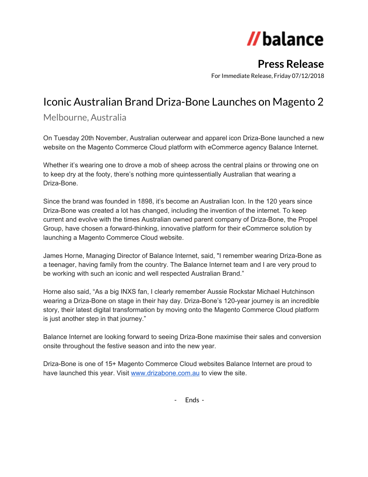# //balance

## **Press Release**

For Immediate Release, Friday 07/12/2018

## Iconic Australian Brand Driza-Bone Launches on Magento 2

Melbourne, Australia

On Tuesday 20th November, Australian outerwear and apparel icon Driza-Bone launched a new website on the Magento Commerce Cloud platform with eCommerce agency Balance Internet.

Whether it's wearing one to drove a mob of sheep across the central plains or throwing one on to keep dry at the footy, there's nothing more quintessentially Australian that wearing a Driza-Bone.

Since the brand was founded in 1898, it's become an Australian Icon. In the 120 years since Driza-Bone was created a lot has changed, including the invention of the internet. To keep current and evolve with the times Australian owned parent company of Driza-Bone, the Propel Group, have chosen a forward-thinking, innovative platform for their eCommerce solution by launching a Magento Commerce Cloud website.

James Horne, Managing Director of Balance Internet, said, "I remember wearing Driza-Bone as a teenager, having family from the country. The Balance Internet team and I are very proud to be working with such an iconic and well respected Australian Brand."

Horne also said, "As a big INXS fan, I clearly remember Aussie Rockstar Michael Hutchinson wearing a Driza-Bone on stage in their hay day. Driza-Bone's 120-year journey is an incredible story, their latest digital transformation by moving onto the Magento Commerce Cloud platform is just another step in that journey."

Balance Internet are looking forward to seeing Driza-Bone maximise their sales and conversion onsite throughout the festive season and into the new year.

Driza-Bone is one of 15+ Magento Commerce Cloud websites Balance Internet are proud to have launched this year. Visit [www.drizabone.com.au](http://www.drizabone.com.au/) to view the site.

- Ends -